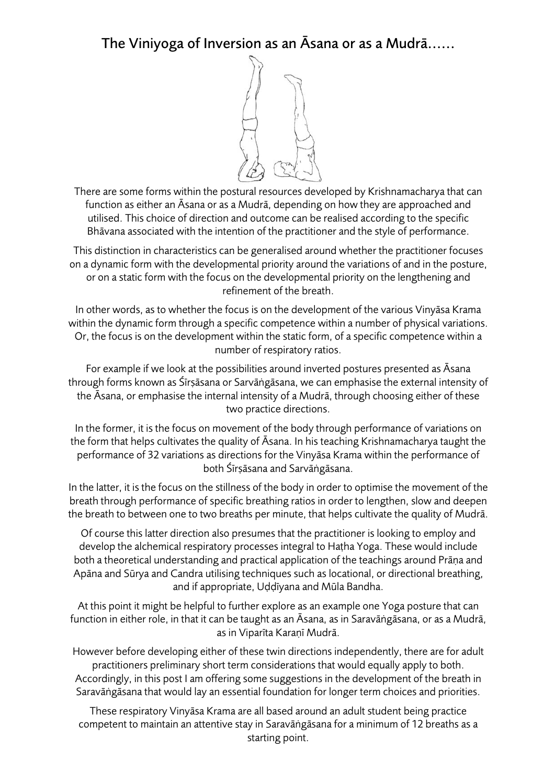## The Viniyoga of Inversion as an Āsana or as a Mudrā......



There are some forms within the postural resources developed by Krishnamacharya that can function as either an Āsana or as a Mudrā, depending on how they are approached and utilised. This choice of direction and outcome can be realised according to the specific Bhāvana associated with the intention of the practitioner and the style of performance.

This distinction in characteristics can be generalised around whether the practitioner focuses on a dynamic form with the developmental priority around the variations of and in the posture, or on a static form with the focus on the developmental priority on the lengthening and refinement of the breath.

In other words, as to whether the focus is on the development of the various Vinyāsa Krama within the dynamic form through a specific competence within a number of physical variations. Or, the focus is on the development within the static form, of a specific competence within a number of respiratory ratios.

For example if we look at the possibilities around inverted postures presented as Āsana through forms known as Śīrṣāsana or Sarvāṅgāsana, we can emphasise the external intensity of the Āsana, or emphasise the internal intensity of a Mudrā, through choosing either of these two practice directions.

In the former, it is the focus on movement of the body through performance of variations on the form that helps cultivates the quality of Āsana. In his teaching Krishnamacharya taught the performance of 32 variations as directions for the Vinyāsa Krama within the performance of both Śīrṣāsana and Sarvāṅgāsana.

In the latter, it is the focus on the stillness of the body in order to optimise the movement of the breath through performance of specific breathing ratios in order to lengthen, slow and deepen the breath to between one to two breaths per minute, that helps cultivate the quality of Mudrā.

Of course this latter direction also presumes that the practitioner is looking to employ and develop the alchemical respiratory processes integral to Haṭha Yoga. These would include both a theoretical understanding and practical application of the teachings around Prāṇa and Apāna and Sūrya and Candra utilising techniques such as locational, or directional breathing, and if appropriate, Uḍḍīyana and Mūla Bandha.

At this point it might be helpful to further explore as an example one Yoga posture that can function in either role, in that it can be taught as an Āsana, as in Saravāṅgāsana, or as a Mudrā, as in Viparīta Karaṇī Mudrā.

However before developing either of these twin directions independently, there are for adult practitioners preliminary short term considerations that would equally apply to both. Accordingly, in this post I am offering some suggestions in the development of the breath in Saravāṅgāsana that would lay an essential foundation for longer term choices and priorities.

These respiratory Vinyāsa Krama are all based around an adult student being practice competent to maintain an attentive stay in Saravāṅgāsana for a minimum of 12 breaths as a starting point.